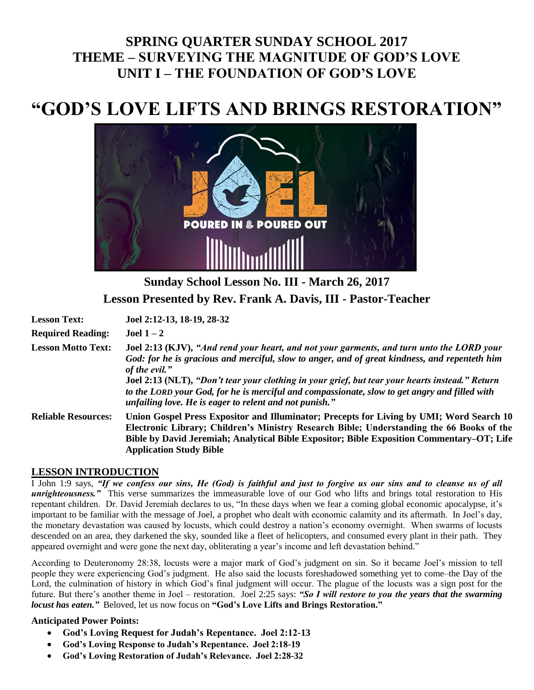## **SPRING QUARTER SUNDAY SCHOOL 2017 THEME – SURVEYING THE MAGNITUDE OF GOD'S LOVE UNIT I – THE FOUNDATION OF GOD'S LOVE**

# **"GOD'S LOVE LIFTS AND BRINGS RESTORATION"**



**Sunday School Lesson No. III - March 26, 2017 Lesson Presented by Rev. Frank A. Davis, III - Pastor-Teacher**

| <b>Lesson Text:</b>        | Joel 2:12-13, 18-19, 28-32                                                                                                                                                                                                                                                                                                                                                                                                                                                |
|----------------------------|---------------------------------------------------------------------------------------------------------------------------------------------------------------------------------------------------------------------------------------------------------------------------------------------------------------------------------------------------------------------------------------------------------------------------------------------------------------------------|
| <b>Required Reading:</b>   | Joel $1-2$                                                                                                                                                                                                                                                                                                                                                                                                                                                                |
| <b>Lesson Motto Text:</b>  | Joel 2:13 (KJV), "And rend your heart, and not your garments, and turn unto the LORD your<br>God: for he is gracious and merciful, slow to anger, and of great kindness, and repenteth him<br>of the evil."<br>Joel 2:13 (NLT), "Don't tear your clothing in your grief, but tear your hearts instead." Return<br>to the LORD your God, for he is merciful and compassionate, slow to get angry and filled with<br>unfailing love. He is eager to relent and not punish." |
| <b>Reliable Resources:</b> | Union Gospel Press Expositor and Illuminator; Precepts for Living by UMI; Word Search 10<br>Electronic Library; Children's Ministry Research Bible; Understanding the 66 Books of the<br>Bible by David Jeremiah; Analytical Bible Expositor; Bible Exposition Commentary–OT; Life<br><b>Application Study Bible</b>                                                                                                                                                      |

### **LESSON INTRODUCTION**

I John 1:9 says, *"If we confess our sins, He (God) is faithful and just to forgive us our sins and to cleanse us of all unrighteousness."* This verse summarizes the immeasurable love of our God who lifts and brings total restoration to His repentant children. Dr. David Jeremiah declares to us, "In these days when we fear a coming global economic apocalypse, it's important to be familiar with the message of Joel, a prophet who dealt with economic calamity and its aftermath. In Joel's day, the monetary devastation was caused by locusts, which could destroy a nation's economy overnight. When swarms of locusts descended on an area, they darkened the sky, sounded like a fleet of helicopters, and consumed every plant in their path. They appeared overnight and were gone the next day, obliterating a year's income and left devastation behind."

According to Deuteronomy 28:38, locusts were a major mark of God's judgment on sin. So it became Joel's mission to tell people they were experiencing God's judgment. He also said the locusts foreshadowed something yet to come–the Day of the Lord, the culmination of history in which God's final judgment will occur. The plague of the locusts was a sign post for the future. But there's another theme in Joel – restoration. Joel 2:25 says: *"So I will restore to you the years that the swarming locust has eaten."* Beloved, let us now focus on **"God's Love Lifts and Brings Restoration."**

### **Anticipated Power Points:**

- **God's Loving Request for Judah's Repentance. Joel 2:12-13**
- **God's Loving Response to Judah's Repentance. Joel 2:18-19**
- **God's Loving Restoration of Judah's Relevance. Joel 2:28-32**